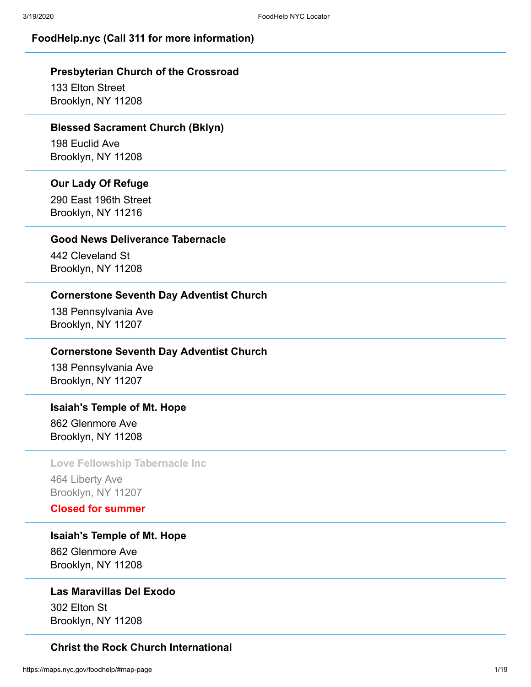## **FoodHelp.nyc (Call 311 for more information)**

## **Presbyterian Church of the Crossroad**

133 Elton Street Brooklyn, NY 11208

#### **Blessed Sacrament Church (Bklyn)**

198 Euclid Ave Brooklyn, NY 11208

## **Our Lady Of Refuge**

290 East 196th Street Brooklyn, NY 11216

## **Good News Deliverance Tabernacle**

442 Cleveland St Brooklyn, NY 11208

## **Cornerstone Seventh Day Adventist Church**

138 Pennsylvania Ave Brooklyn, NY 11207

#### **Cornerstone Seventh Day Adventist Church**

138 Pennsylvania Ave Brooklyn, NY 11207

#### **Isaiah's Temple of Mt. Hope**

862 Glenmore Ave Brooklyn, NY 11208

#### **Love Fellowship Tabernacle Inc**

464 Liberty Ave Brooklyn, NY 11207

## **Closed for summer**

**Isaiah's Temple of Mt. Hope**

862 Glenmore Ave Brooklyn, NY 11208

## **Las Maravillas Del Exodo**

302 Elton St Brooklyn, NY 11208

## **Christ the Rock Church International**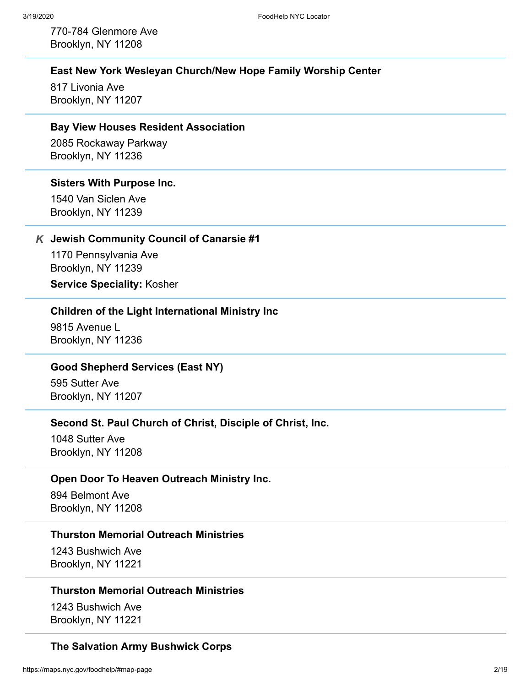770-784 Glenmore Ave Brooklyn, NY 11208

## **East New York Wesleyan Church/New Hope Family Worship Center**

817 Livonia Ave Brooklyn, NY 11207

#### **Bay View Houses Resident Association**

2085 Rockaway Parkway Brooklyn, NY 11236

#### **Sisters With Purpose Inc.**

1540 Van Siclen Ave Brooklyn, NY 11239

#### **Jewish Community Council of Canarsie #1** *K*

1170 Pennsylvania Ave Brooklyn, NY 11239

#### **Service Speciality:** Kosher

## **Children of the Light International Ministry Inc**

9815 Avenue L Brooklyn, NY 11236

## **Good Shepherd Services (East NY)**

595 Sutter Ave Brooklyn, NY 11207

#### **Second St. Paul Church of Christ, Disciple of Christ, Inc.**

1048 Sutter Ave Brooklyn, NY 11208

#### **Open Door To Heaven Outreach Ministry Inc.**

894 Belmont Ave Brooklyn, NY 11208

## **Thurston Memorial Outreach Ministries**

1243 Bushwich Ave Brooklyn, NY 11221

#### **Thurston Memorial Outreach Ministries**

1243 Bushwich Ave Brooklyn, NY 11221

#### **The Salvation Army Bushwick Corps**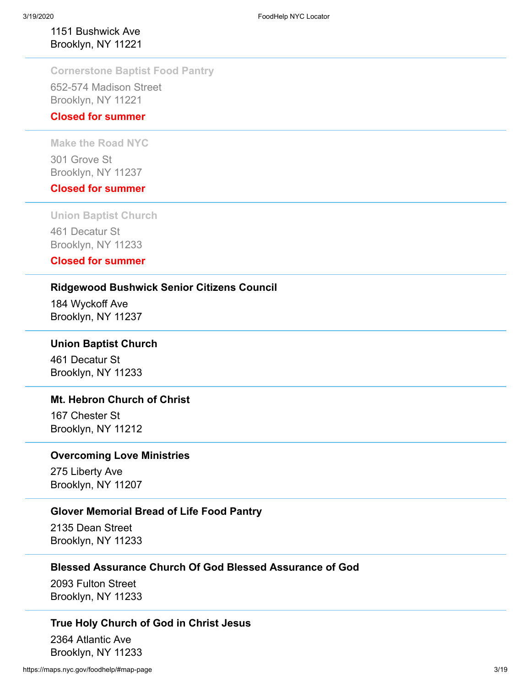## 1151 Bushwick Ave Brooklyn, NY 11221

## **Cornerstone Baptist Food Pantry**

652-574 Madison Street Brooklyn, NY 11221

## **Closed for summer**

**Make the Road NYC**

301 Grove St Brooklyn, NY 11237

## **Closed for summer**

**Union Baptist Church**

461 Decatur St Brooklyn, NY 11233

## **Closed for summer**

## **Ridgewood Bushwick Senior Citizens Council**

184 Wyckoff Ave Brooklyn, NY 11237

## **Union Baptist Church**

461 Decatur St Brooklyn, NY 11233

## **Mt. Hebron Church of Christ**

167 Chester St Brooklyn, NY 11212

## **Overcoming Love Ministries**

275 Liberty Ave Brooklyn, NY 11207

## **Glover Memorial Bread of Life Food Pantry**

2135 Dean Street Brooklyn, NY 11233

## **Blessed Assurance Church Of God Blessed Assurance of God**

2093 Fulton Street Brooklyn, NY 11233

#### **True Holy Church of God in Christ Jesus**

2364 Atlantic Ave Brooklyn, NY 11233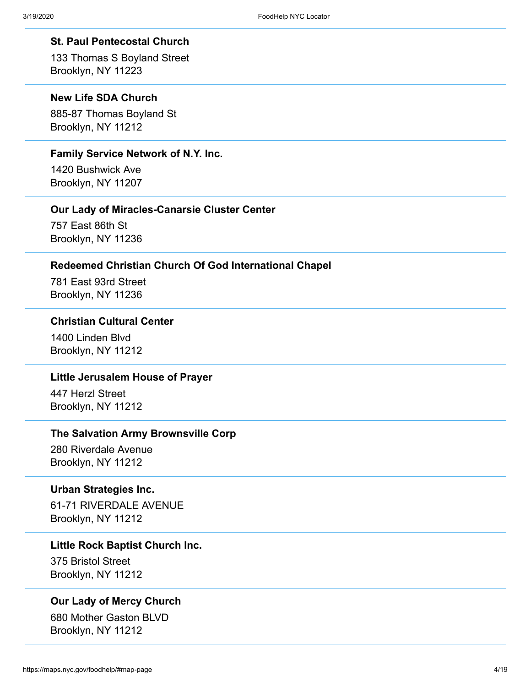#### **St. Paul Pentecostal Church**

133 Thomas S Boyland Street Brooklyn, NY 11223

## **New Life SDA Church**

885-87 Thomas Boyland St Brooklyn, NY 11212

## **Family Service Network of N.Y. Inc.**

1420 Bushwick Ave Brooklyn, NY 11207

#### **Our Lady of Miracles-Canarsie Cluster Center**

757 East 86th St Brooklyn, NY 11236

## **Redeemed Christian Church Of God International Chapel**

781 East 93rd Street Brooklyn, NY 11236

## **Christian Cultural Center**

1400 Linden Blvd Brooklyn, NY 11212

## **Little Jerusalem House of Prayer**

447 Herzl Street Brooklyn, NY 11212

#### **The Salvation Army Brownsville Corp**

280 Riverdale Avenue Brooklyn, NY 11212

#### **Urban Strategies Inc.**

61-71 RIVERDALE AVENUE Brooklyn, NY 11212

#### **Little Rock Baptist Church Inc.**

375 Bristol Street Brooklyn, NY 11212

## **Our Lady of Mercy Church**

680 Mother Gaston BLVD Brooklyn, NY 11212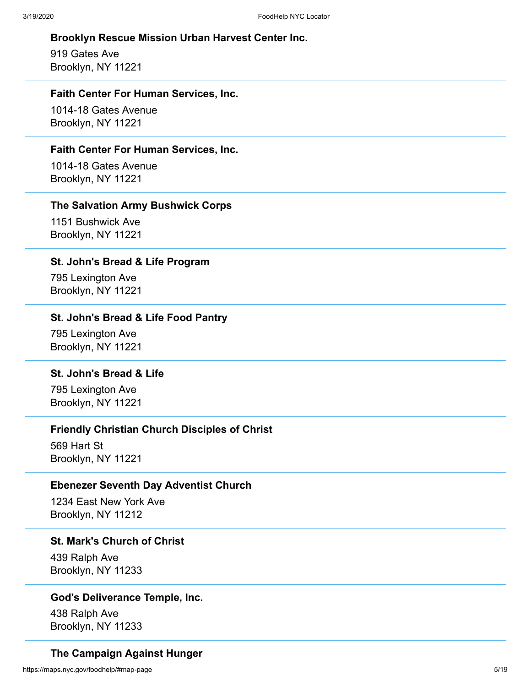## **Brooklyn Rescue Mission Urban Harvest Center Inc.**

919 Gates Ave Brooklyn, NY 11221

## **Faith Center For Human Services, Inc.**

1014-18 Gates Avenue Brooklyn, NY 11221

## **Faith Center For Human Services, Inc.**

1014-18 Gates Avenue Brooklyn, NY 11221

#### **The Salvation Army Bushwick Corps**

1151 Bushwick Ave Brooklyn, NY 11221

#### **St. John's Bread & Life Program**

795 Lexington Ave Brooklyn, NY 11221

## **St. John's Bread & Life Food Pantry**

795 Lexington Ave Brooklyn, NY 11221

## **St. John's Bread & Life**

795 Lexington Ave Brooklyn, NY 11221

## **Friendly Christian Church Disciples of Christ**

569 Hart St Brooklyn, NY 11221

#### **Ebenezer Seventh Day Adventist Church**

1234 East New York Ave Brooklyn, NY 11212

#### **St. Mark's Church of Christ**

439 Ralph Ave Brooklyn, NY 11233

## **God's Deliverance Temple, Inc.**

438 Ralph Ave Brooklyn, NY 11233

## **The Campaign Against Hunger**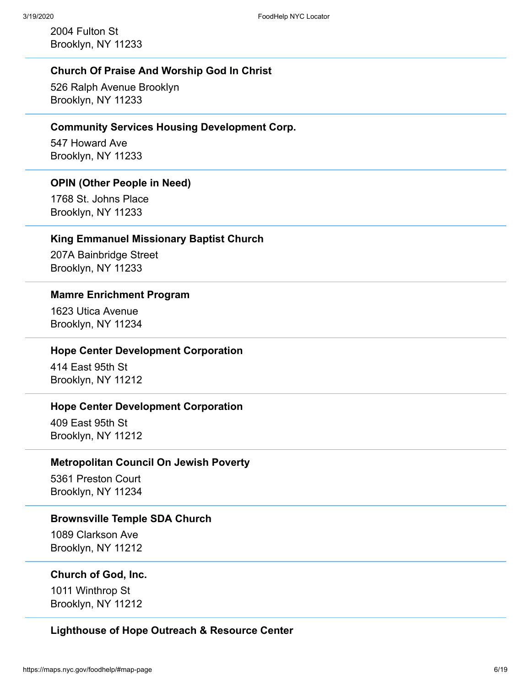2004 Fulton St Brooklyn, NY 11233

## **Church Of Praise And Worship God In Christ**

526 Ralph Avenue Brooklyn Brooklyn, NY 11233

#### **Community Services Housing Development Corp.**

547 Howard Ave Brooklyn, NY 11233

#### **OPIN (Other People in Need)**

1768 St. Johns Place Brooklyn, NY 11233

## **King Emmanuel Missionary Baptist Church**

207A Bainbridge Street Brooklyn, NY 11233

#### **Mamre Enrichment Program**

1623 Utica Avenue Brooklyn, NY 11234

#### **Hope Center Development Corporation**

414 East 95th St Brooklyn, NY 11212

## **Hope Center Development Corporation**

409 East 95th St Brooklyn, NY 11212

## **Metropolitan Council On Jewish Poverty**

5361 Preston Court Brooklyn, NY 11234

#### **Brownsville Temple SDA Church**

1089 Clarkson Ave Brooklyn, NY 11212

#### **Church of God, Inc.**

1011 Winthrop St Brooklyn, NY 11212

## **Lighthouse of Hope Outreach & Resource Center**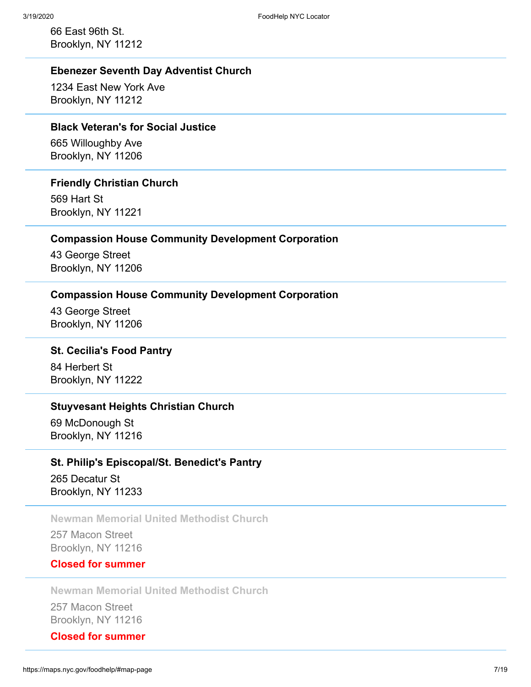66 East 96th St. Brooklyn, NY 11212

## **Ebenezer Seventh Day Adventist Church**

1234 East New York Ave Brooklyn, NY 11212

## **Black Veteran's for Social Justice**

665 Willoughby Ave Brooklyn, NY 11206

#### **Friendly Christian Church**

569 Hart St Brooklyn, NY 11221

#### **Compassion House Community Development Corporation**

43 George Street Brooklyn, NY 11206

#### **Compassion House Community Development Corporation**

43 George Street Brooklyn, NY 11206

## **St. Cecilia's Food Pantry**

84 Herbert St Brooklyn, NY 11222

## **Stuyvesant Heights Christian Church**

69 McDonough St Brooklyn, NY 11216

## **St. Philip's Episcopal/St. Benedict's Pantry**

265 Decatur St Brooklyn, NY 11233

## **Newman Memorial United Methodist Church**

257 Macon Street Brooklyn, NY 11216

## **Closed for summer**

**Newman Memorial United Methodist Church**

257 Macon Street Brooklyn, NY 11216

## **Closed for summer**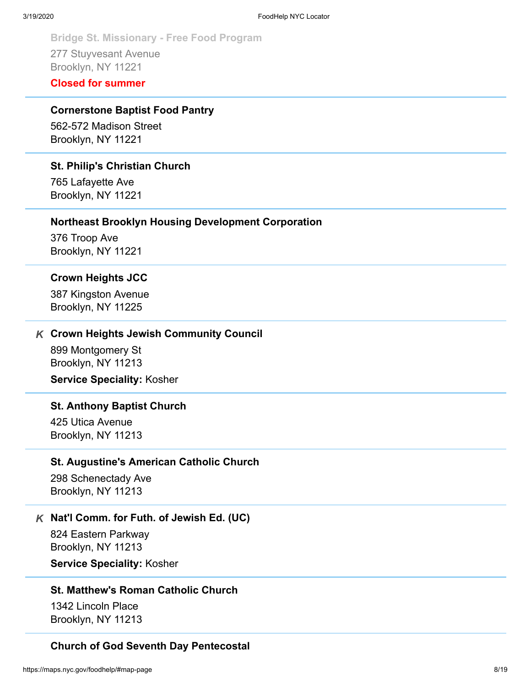Bridge St. Missionary - Free Food Program<br>
277 Stuyvesant Avenue<br>
Erooklyn, NY 11221<br>
Closed for summer<br>
Cornerstone Baptist Food Pantry<br>
562-572 Madison Street<br>
Brooklyn, NY 11221<br>
St. Philip's Christian Church<br>
765 Lafay 277 Stuyvesant Avenue Brooklyn, NY 11221

## **Closed for summer**

## **Cornerstone Baptist Food Pantry**

562-572 Madison Street Brooklyn, NY 11221

#### **St. Philip's Christian Church**

765 Lafayette Ave Brooklyn, NY 11221

#### **Northeast Brooklyn Housing Development Corporation**

376 Troop Ave Brooklyn, NY 11221

#### **Crown Heights JCC**

387 Kingston Avenue Brooklyn, NY 11225

#### **Crown Heights Jewish Community Council** *K*

899 Montgomery St Brooklyn, NY 11213

**Service Speciality:** Kosher

## **St. Anthony Baptist Church**

425 Utica Avenue Brooklyn, NY 11213

#### **St. Augustine's American Catholic Church**

298 Schenectady Ave Brooklyn, NY 11213

## **Nat'l Comm. for Futh. of Jewish Ed. (UC)** *K*

824 Eastern Parkway Brooklyn, NY 11213 **Service Speciality:** Kosher

#### **St. Matthew's Roman Catholic Church**

1342 Lincoln Place Brooklyn, NY 11213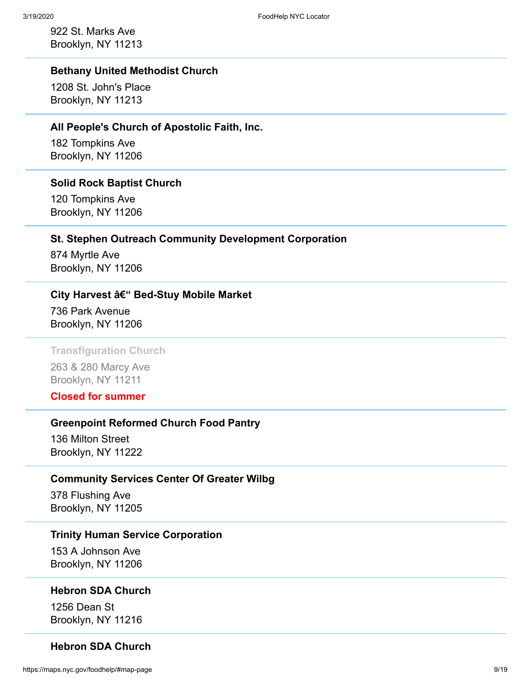922 St. Marks Ave Brooklyn, NY 11213

## **Bethany United Methodist Church**

1208 St. John's Place Brooklyn, NY 11213

#### **All People's Church of Apostolic Faith, Inc.**

182 Tompkins Ave Brooklyn, NY 11206

#### **Solid Rock Baptist Church**

120 Tompkins Ave Brooklyn, NY 11206

## **St. Stephen Outreach Community Development Corporation**

874 Myrtle Ave Brooklyn, NY 11206

#### **City Harvest – Bed-Stuy Mobile Market**

736 Park Avenue Brooklyn, NY 11206

#### **Transfiguration Church**

263 & 280 Marcy Ave Brooklyn, NY 11211

## **Closed for summer**

#### **Greenpoint Reformed Church Food Pantry**

136 Milton Street Brooklyn, NY 11222

## **Community Services Center Of Greater Wilbg**

378 Flushing Ave Brooklyn, NY 11205

## **Trinity Human Service Corporation**

153 A Johnson Ave Brooklyn, NY 11206

#### **Hebron SDA Church**

1256 Dean St Brooklyn, NY 11216

## **Hebron SDA Church**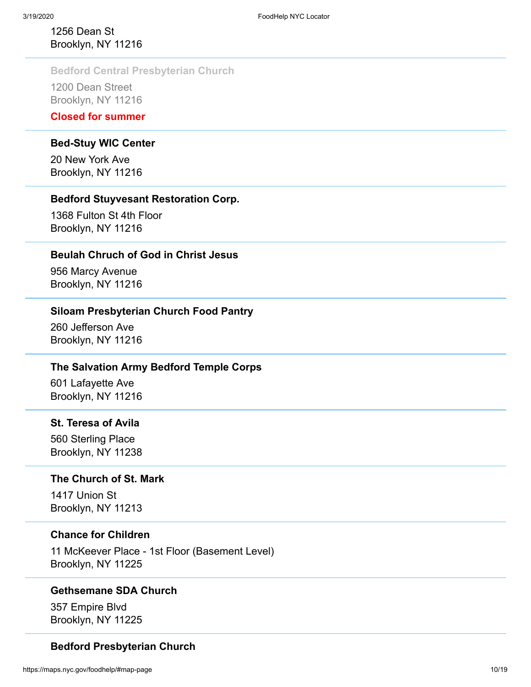## 1256 Dean St Brooklyn, NY 11216

## **Bedford Central Presbyterian Church**

1200 Dean Street Brooklyn, NY 11216

## **Closed for summer**

## **Bed-Stuy WIC Center**

20 New York Ave Brooklyn, NY 11216

## **Bedford Stuyvesant Restoration Corp.**

1368 Fulton St 4th Floor Brooklyn, NY 11216

## **Beulah Chruch of God in Christ Jesus**

956 Marcy Avenue Brooklyn, NY 11216

## **Siloam Presbyterian Church Food Pantry**

260 Jefferson Ave Brooklyn, NY 11216

## **The Salvation Army Bedford Temple Corps**

601 Lafayette Ave Brooklyn, NY 11216

## **St. Teresa of Avila**

560 Sterling Place Brooklyn, NY 11238

## **The Church of St. Mark**

1417 Union St Brooklyn, NY 11213

## **Chance for Children**

11 McKeever Place - 1st Floor (Basement Level) Brooklyn, NY 11225

## **Gethsemane SDA Church**

357 Empire Blvd Brooklyn, NY 11225

## **Bedford Presbyterian Church**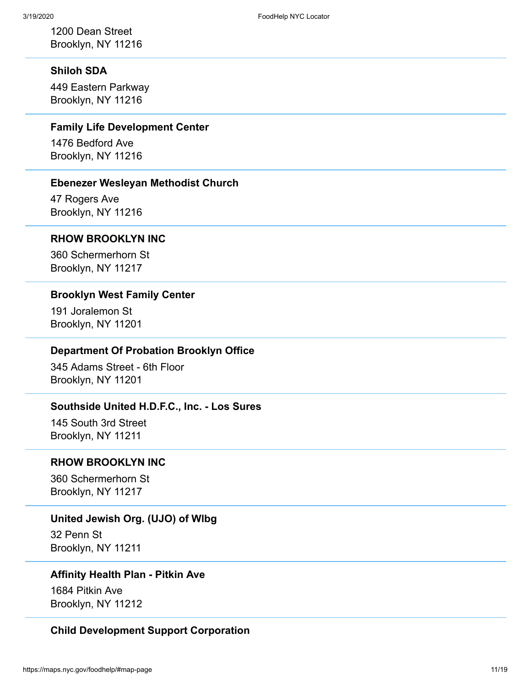1200 Dean Street Brooklyn, NY 11216

## **Shiloh SDA**

449 Eastern Parkway Brooklyn, NY 11216

## **Family Life Development Center**

1476 Bedford Ave Brooklyn, NY 11216

## **Ebenezer Wesleyan Methodist Church**

47 Rogers Ave Brooklyn, NY 11216

## **RHOW BROOKLYN INC**

360 Schermerhorn St Brooklyn, NY 11217

#### **Brooklyn West Family Center**

191 Joralemon St Brooklyn, NY 11201

#### **Department Of Probation Brooklyn Office**

345 Adams Street - 6th Floor Brooklyn, NY 11201

## **Southside United H.D.F.C., Inc. - Los Sures**

145 South 3rd Street Brooklyn, NY 11211

## **RHOW BROOKLYN INC**

360 Schermerhorn St Brooklyn, NY 11217

#### **United Jewish Org. (UJO) of Wlbg**

32 Penn St Brooklyn, NY 11211

## **Affinity Health Plan - Pitkin Ave**

1684 Pitkin Ave Brooklyn, NY 11212

## **Child Development Support Corporation**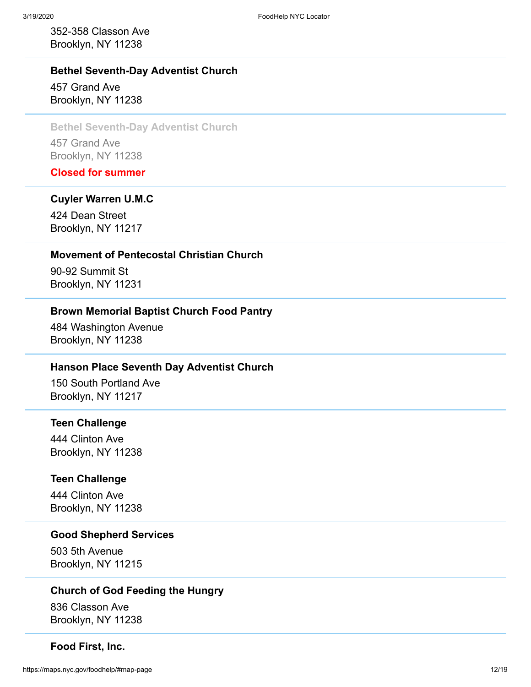352-358 Classon Ave Brooklyn, NY 11238

## **Bethel Seventh-Day Adventist Church** 457 Grand Ave Brooklyn, NY 11238

## **Bethel Seventh-Day Adventist Church** 457 Grand Ave

Brooklyn, NY 11238

**Closed for summer**

#### **Cuyler Warren U.M.C**

424 Dean Street Brooklyn, NY 11217

#### **Movement of Pentecostal Christian Church**

90-92 Summit St Brooklyn, NY 11231

## **Brown Memorial Baptist Church Food Pantry**

484 Washington Avenue Brooklyn, NY 11238

## **Hanson Place Seventh Day Adventist Church**

150 South Portland Ave Brooklyn, NY 11217

#### **Teen Challenge**

444 Clinton Ave Brooklyn, NY 11238

## **Teen Challenge**

444 Clinton Ave Brooklyn, NY 11238

## **Good Shepherd Services**

503 5th Avenue Brooklyn, NY 11215

#### **Church of God Feeding the Hungry**

836 Classon Ave Brooklyn, NY 11238

#### **Food First, Inc.**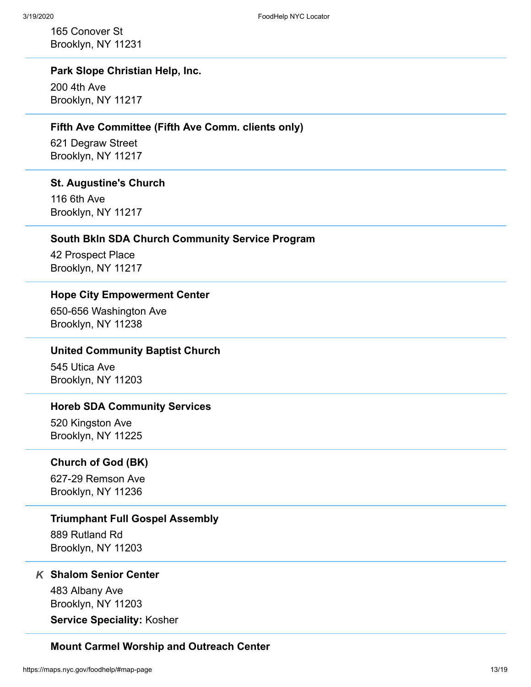165 Conover St Brooklyn, NY 11231

## **Park Slope Christian Help, Inc.**

200 4th Ave Brooklyn, NY 11217

#### **Fifth Ave Committee (Fifth Ave Comm. clients only)**

621 Degraw Street Brooklyn, NY 11217

#### **St. Augustine's Church**

116 6th Ave Brooklyn, NY 11217

## **South Bkln SDA Church Community Service Program**

42 Prospect Place Brooklyn, NY 11217

## **Hope City Empowerment Center**

650-656 Washington Ave Brooklyn, NY 11238

## **United Community Baptist Church**

545 Utica Ave Brooklyn, NY 11203

#### **Horeb SDA Community Services**

520 Kingston Ave Brooklyn, NY 11225

## **Church of God (BK)**

627-29 Remson Ave Brooklyn, NY 11236

#### **Triumphant Full Gospel Assembly**

889 Rutland Rd Brooklyn, NY 11203

## **Shalom Senior Center** *K*

483 Albany Ave Brooklyn, NY 11203

**Service Speciality:** Kosher

#### **Mount Carmel Worship and Outreach Center**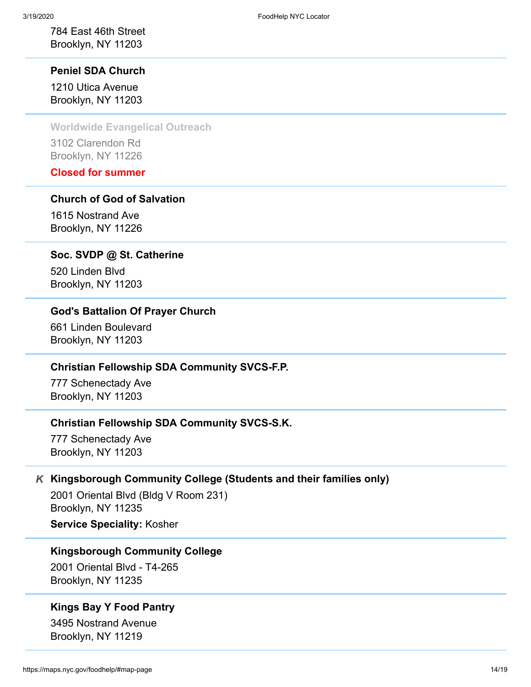784 East 46th Street Brooklyn, NY 11203

**Peniel SDA Church** 1210 Utica Avenue Brooklyn, NY 11203

**Worldwide Evangelical Outreach**

3102 Clarendon Rd Brooklyn, NY 11226

**Closed for summer**

## **Church of God of Salvation**

1615 Nostrand Ave Brooklyn, NY 11226

#### **Soc. SVDP @ St. Catherine**

520 Linden Blvd Brooklyn, NY 11203

## **God's Battalion Of Prayer Church**

661 Linden Boulevard Brooklyn, NY 11203

## **Christian Fellowship SDA Community SVCS-F.P.**

777 Schenectady Ave Brooklyn, NY 11203

#### **Christian Fellowship SDA Community SVCS-S.K.**

777 Schenectady Ave Brooklyn, NY 11203

## **Kingsborough Community College (Students and their families only)** *K*

2001 Oriental Blvd (Bldg V Room 231) Brooklyn, NY 11235 **Service Speciality:** Kosher

#### **Kingsborough Community College**

2001 Oriental Blvd - T4-265 Brooklyn, NY 11235

## **Kings Bay Y Food Pantry**

3495 Nostrand Avenue Brooklyn, NY 11219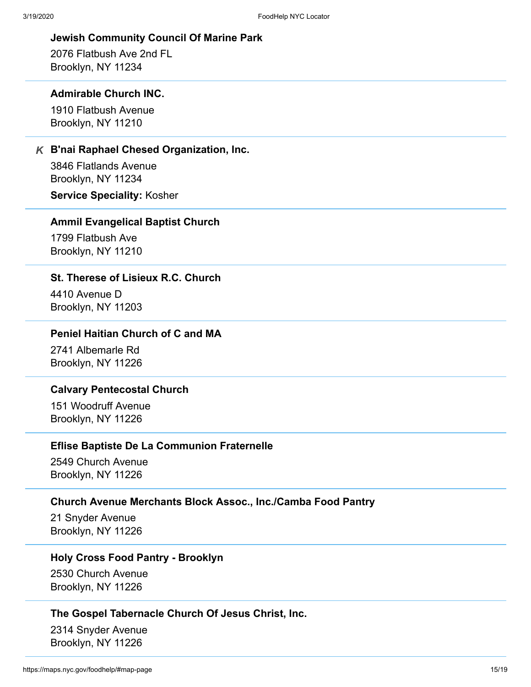#### **Jewish Community Council Of Marine Park**

2076 Flatbush Ave 2nd FL Brooklyn, NY 11234

#### **Admirable Church INC.**

1910 Flatbush Avenue Brooklyn, NY 11210

## **B'nai Raphael Chesed Organization, Inc.** *K*

3846 Flatlands Avenue Brooklyn, NY 11234

**Service Speciality:** Kosher

#### **AmmiI Evangelical Baptist Church**

1799 Flatbush Ave Brooklyn, NY 11210

## **St. Therese of Lisieux R.C. Church**

4410 Avenue D Brooklyn, NY 11203

## **Peniel Haitian Church of C and MA**

2741 Albemarle Rd Brooklyn, NY 11226

#### **Calvary Pentecostal Church**

151 Woodruff Avenue Brooklyn, NY 11226

## **Eflise Baptiste De La Communion Fraternelle**

2549 Church Avenue Brooklyn, NY 11226

## **Church Avenue Merchants Block Assoc., Inc./Camba Food Pantry**

21 Snyder Avenue Brooklyn, NY 11226

## **Holy Cross Food Pantry - Brooklyn**

2530 Church Avenue Brooklyn, NY 11226

## **The Gospel Tabernacle Church Of Jesus Christ, Inc.**

2314 Snyder Avenue Brooklyn, NY 11226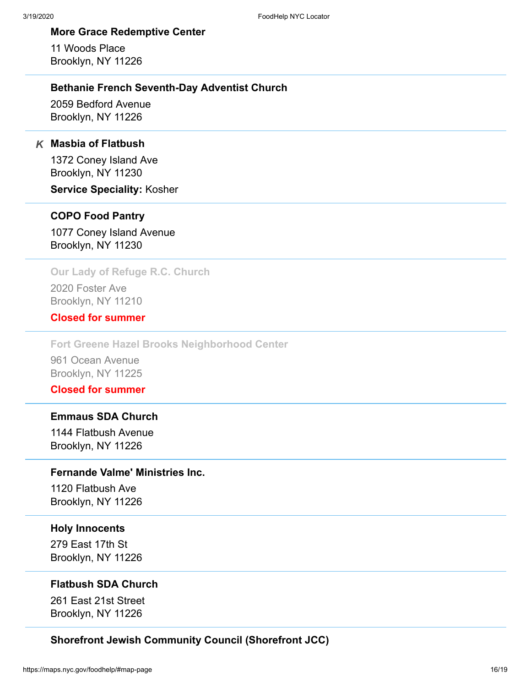## **More Grace Redemptive Center**

11 Woods Place Brooklyn, NY 11226

## **Bethanie French Seventh-Day Adventist Church**

2059 Bedford Avenue Brooklyn, NY 11226

## **Masbia of Flatbush** *K*

1372 Coney Island Ave Brooklyn, NY 11230

**Service Speciality:** Kosher

## **COPO Food Pantry**

1077 Coney Island Avenue Brooklyn, NY 11230

## **Our Lady of Refuge R.C. Church**

2020 Foster Ave Brooklyn, NY 11210

## **Closed for summer**

**Fort Greene Hazel Brooks Neighborhood Center**

961 Ocean Avenue Brooklyn, NY 11225

## **Closed for summer**

## **Emmaus SDA Church**

1144 Flatbush Avenue Brooklyn, NY 11226

## **Fernande Valme' Ministries Inc.**

1120 Flatbush Ave Brooklyn, NY 11226

#### **Holy Innocents**

279 East 17th St Brooklyn, NY 11226

## **Flatbush SDA Church**

261 East 21st Street Brooklyn, NY 11226

## **Shorefront Jewish Community Council (Shorefront JCC)**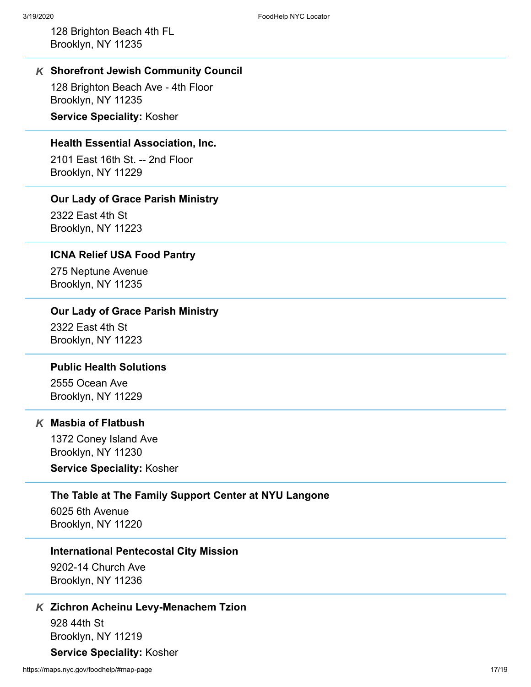128 Brighton Beach 4th FL Brooklyn, NY 11235

## **Shorefront Jewish Community Council** *K*

128 Brighton Beach Ave - 4th Floor Brooklyn, NY 11235

**Service Speciality:** Kosher

## **Health Essential Association, Inc.**

2101 East 16th St. -- 2nd Floor Brooklyn, NY 11229

## **Our Lady of Grace Parish Ministry**

2322 East 4th St Brooklyn, NY 11223

#### **ICNA Relief USA Food Pantry**

275 Neptune Avenue Brooklyn, NY 11235

## **Our Lady of Grace Parish Ministry**

2322 East 4th St Brooklyn, NY 11223

## **Public Health Solutions**

2555 Ocean Ave Brooklyn, NY 11229

## **Masbia of Flatbush** *K*

1372 Coney Island Ave Brooklyn, NY 11230

**Service Speciality:** Kosher

#### **The Table at The Family Support Center at NYU Langone**

6025 6th Avenue Brooklyn, NY 11220

#### **International Pentecostal City Mission**

9202-14 Church Ave Brooklyn, NY 11236

## **Zichron Acheinu Levy-Menachem Tzion** *K*

928 44th St Brooklyn, NY 11219

## **Service Speciality:** Kosher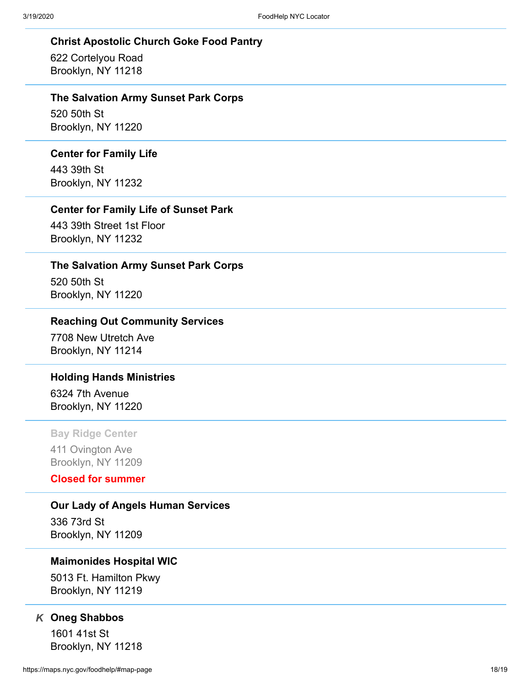#### **Christ Apostolic Church Goke Food Pantry**

622 Cortelyou Road Brooklyn, NY 11218

#### **The Salvation Army Sunset Park Corps**

520 50th St Brooklyn, NY 11220

#### **Center for Family Life**

443 39th St Brooklyn, NY 11232

## **Center for Family Life of Sunset Park**

443 39th Street 1st Floor Brooklyn, NY 11232

#### **The Salvation Army Sunset Park Corps**

520 50th St Brooklyn, NY 11220

### **Reaching Out Community Services**

7708 New Utretch Ave Brooklyn, NY 11214

## **Holding Hands Ministries**

6324 7th Avenue Brooklyn, NY 11220

## **Bay Ridge Center**

411 Ovington Ave Brooklyn, NY 11209

# **Closed for summer**

**Our Lady of Angels Human Services**

336 73rd St Brooklyn, NY 11209

#### **Maimonides Hospital WIC**

5013 Ft. Hamilton Pkwy Brooklyn, NY 11219

## **Oneg Shabbos** *K*

1601 41st St Brooklyn, NY 11218